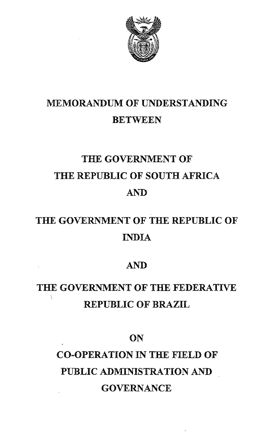

## MEMORANDUM OF UNDERSTANDING **BETWEEN**

# THE GOVERNMENT OF THE REPUBLIC OF SOUTH AFRICA AND

# THE GOVERNMENT OF THE REPUBLIC OF INDIA

## AND

# THE GOVERNMENT OF THE FEDERATIVE REPUBLIC OF BRAZIL

## **ON**

# CO-OPERATION IN THE FIELD OF PUBLIC ADMINISTRATION AND GOVERNANCE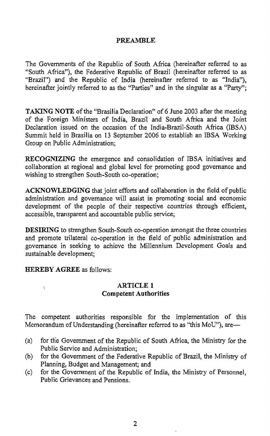#### PREAMBLE

The Governments of the Republic of South Africa (hereinafter referred to as "South Africa"), the Federative Republic of Brazil (hereinafter referred to as "Brazil") and the Republic of India (hereinafter referred to as "India"), hereinafter jointly referred to as the "Parties" and in the singular as a "Party";

TAKING NOTE of the "Brasilia Declaration" of 6 June 2003 after the meeting of the Foreign Ministers of India, Brazil and South Africa and the Joint Declaration issued on the occasion of the India-Brazil-South Africa (IBSA) Summit held in Brasilia on 13 September 2006 to establish an IBSA Working Group on Public Administration;

RECOGNIZING the emergence and consolidation of IBSA initiatives and collaboration at regional and global level for promoting good governance and wishing to strengthen South-South co-operation;

ACKNOWLEDGING that joint efforts and collaboration in the field of public administration and governance will assist in promoting social and economic development of the people of their respective countries through efficient, accessible, transparent and accountable public service;

DESIRING to strengthen South-South co-operation amongst the three countries and promote trilateral co-operation in the field of public administration and governance in seeking to achieve the Millennium Development Goals and sustainable development;

HEREBY AGREE as follows:

ŧ

#### ARTICLE 1 Competent Authorities

The competent authorities responsible for the implementation of this Memorandum of Understanding (hereinafter referred to as "this MoU"), are—

- (a) for die Government of the Republic of South Africa, the Ministry for the Public Service and Administration;
- (b) for the Government of the Federative Republic of Brazil, the Ministry of Planning, Budget and Management; and
- (c) for the Government of the Republic of India, the Ministry of Personnel, Public Grievances and Pensions.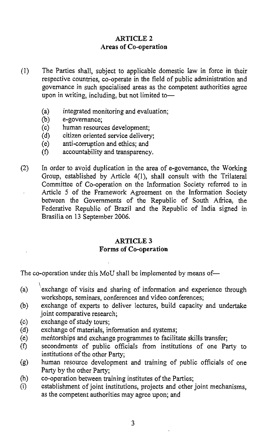#### ARTICLE 2 Areas of Co-operation

- (1) The Parties shall, subject to applicable domestic law in force in their respective countries, co-operate in the field of public administration and governance in such specialised areas as the competent authorities agree upon in writing, including, but not limited to-
	- (a) integrated monitoring and evaluation;<br>(b) e-governance;
	- e-governance;
	- (c) human resources development;
	- (d) citizen oriented service delivery;
	- $(e)$  anti-corruption and ethics; and
	- $(f)$  accountability and transparency.
- (2) In order to avoid duplication in the area of e-governance, the Working Group, established by Article 4(1), shall consult with the Trilateral Committee of Co-operation on the Information Society referred to in Article 5 of the Framework Agreement on the Information Society between the Governments of the Republic of South Africa, the Federative Republic of Brazil and the Republic of India signed in Brasilia on 13 September 2006.

#### ARTICLE 3 Forms of Co-operation

The co-operation under this MoU shall be implemented by means of-

- \ (a) 'exchange of visits and sharing of information and experience through workshops, seminars, conferences and video conferences;
- (b) exchange of experts to deliver lectures, build capacity and undertake joint comparative research;
- (c) exchange of study tours;
- (d) exchange of materials, information and systems;
- (e) meittorships and exchange programmes to facilitate skills transfer;
- (f) secondments of public officials from institutions of one Party to institutions of the other Party;
- (g) human resource development and training of public officials of one Party by the other Party;
- (h) co-operation between training institutes of the Parties;
- (i) establishment of joint institutions, projects and other joint mechanisms, as the competent authorities may agree upon; and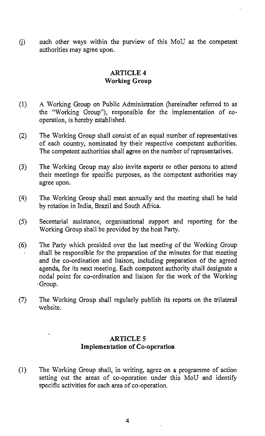U) such other ways within the purview of this MoD as the competent authorities may agree upon.

#### **ARTICLE** 4 **Working Group**

- (l) A Working Group on Public Administration (hereinafter referred to as the "Working Group"), responsible for the implementation of cooperation, is hereby established.
- (2) The Working Group shall consist of an equal number of representatives of each country, nominated by their respective competent authorities. The competent authorities shall agree on the number of representatives.
- (3) The Working Group may also invite experts or other persons to attend their meetings for specific purposes, as the competent authorities may agree upon.
- (4) The Working Group shall meet annually and the meeting shall be held by rotation in India, Brazil and South Africa.
- (5) Secretarial assistance, organisational support and reporting for the Working Group shall be provided by the host Party.
- (6) The Party which presided over the last meeting of the Working Group shall be responsible for the preparation of the minutes for that meeting and the co-ordination and liaison, including preparation of the agreed agenda, for its next meeting. Each competent authority shall designate a nodal point for co-ordination and liaison for the work of the Working Group.
- (7) The Working Group shall regularly publish its reports on the trilateral website.

#### **ARTICLE 5 Implementation of Co-operation**

(1) The Working Group shall, in writing, agree on a programme of action setting out the areas of co-operation under this MoU and identify specific activities for each area of co-operation.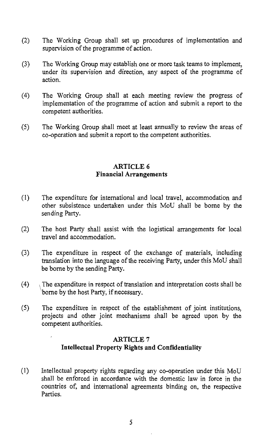- (2) The Working Group shall set up procedures of implementation and supervision of the programme of action.
- (3) The Working Group may establish one or more task teams to implement, under its supervision and direction, any aspect of the programme of action.
- (4) The Working Group shall at each meeting review the progress of implementation of the programme of action and submit a report to the competent authorities.
- (5) The Working Group shall meet at least annually to review the areas of co~operation and submit a report to the competent authorities.

#### ARTICLE 6 Financial Arrangements

- (1) The expenditure for international and local travel, accommodation and other subsistence undertaken under this MoD shall be borne by the sending Party.
- (2) The host Party shall assist with the logistical arrangements for local travel and accommodation.
- (3) The expenditure in respect of the exchange of materials, including translation into the language of the receiving Party, under this MoU shall be borne by the sending Party.
- $(4)$  . The expenditure in respect of translation and interpretation costs shall be borne by the host Party, if necessary.
- (5) The expenditure in respect of the establishment of joint institutions) projects and other joint mechanisms shall be agreed upon by the competent authorities.

#### ARTICLE 7 Intellectual Property Rights and Confidentiality

(l) Intellectual property rights regarding any co~operation under this MoU shall be enforced in accordance with the domestic law in force in the countries of, and international agreements binding on, the respective Parties.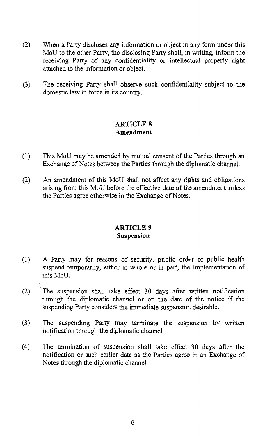- (2) When a Party discloses any information or object in any form under this MoV to the other Party, the disclosing Party shall, in writing, inform the receiving Party of any confidentiality or intellectual property right attached to the information or object.
- (3) The receiving Party shall observe such confidentiality subject to the domestic law in force in its country.

#### **ARTICLE 8** Amendment

- (1) This MoD may be amended by mutual consent of the Parties through an Exchange of Notes between the Parties through the diplomatic channel.
- (2) An amendment of this MoV shall not affect any rights and obligations arising from this MoU before the effective date of the amendment unless the Parties agree otherwise in the Exchange of Notes.

#### ARTICLE 9 Suspension

- (1) A Party may for reasons of security, public order or public health suspend temporarily, either in whole or in part, the implementation of this MoU.
- $\ddot{\phantom{0}}$ (2)  $\overline{r}$  The suspension shall take effect 30 days after written notification through the diplomatic channel or on the date of the notice if the suspending Party considers the immediate suspension desirable.
- (3) The suspending Party may terminate the suspension by written notification through the diplomatic channel.
- (4) The termination of suspension shall take effect 30 days after the notification or such earlier date as the Parties agree in an Exchange of Notes through the diplomatic channel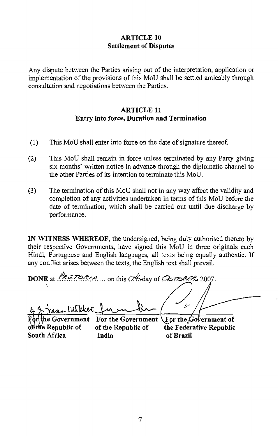#### **ARTICLE 10 Settlement of Disputes**

Any dispute between the Parties arising out of the interpretation, application or implementation of the provisions of this MoU shall be settled amicably through consultation and negotiations between the Parties.

#### **ARTICLE 11** Entry into force, Duration and Termination

- $(1)$ This MoU shall enter into force on the date of signature thereof.
- $(2)$ This MoU shall remain in force unless terminated by any Party giving six months' written notice in advance through the diplomatic channel to the other Parties of its intention to terminate this MoU.
- The termination of this MoU shall not in any way affect the validity and  $(3)$ completion of any activities undertaken in terms of this MoU before the date of termination, which shall be carried out until due discharge by performance.

IN WITNESS WHEREOF, the undersigned, being duly authorised thereto by their respective Governments, have signed this MoU in three originals each Hindi, Portuguese and English languages, all texts being equally authentic. If any conflict arises between the texts, the English text shall prevail.

DONE at  $ReZOR/A$ ... on this  $24$  day of  $QZORB2007$ .  $\overline{\nu}$ an- Milder e Government For the Government For the Government of of the Republic of of the Republic of the Federative Republic South Africa India of Brazil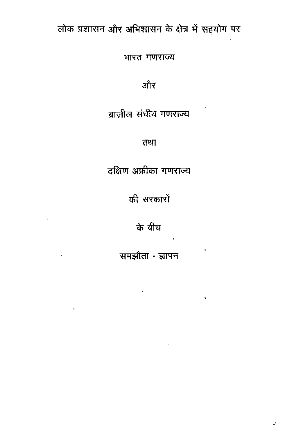## लोक प्रशासन और अभिशासन के क्षेत्र में सहयोग पर

भारत गणराज्य

और

ब्राज़ील संघीय गणराज्य

तथा

दक्षिण अफ्रीका गणराज्य

की सरकारों

के बीच

 $\sim 3$ 

 $\chi$ 

समझौता - ज्ञापन

 $\hat{\mathbf{z}}$ 

 $\tilde{\tau}$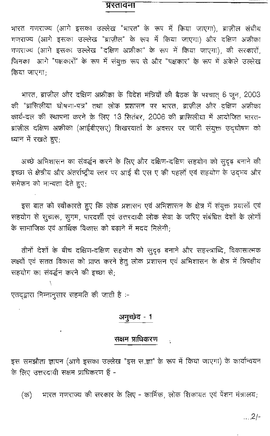## प्रस्तावना

भारत गणराज्य (आगे इसका उल्लेख "भारत" के रूप में किया जाएगा), ब्राज़ील संघीय गणराज्य (आगे इसका उल्लेख "ब्राज़ील" के रूप में किया जाएगा) और दक्षिण अफ्रीका गणराज्य (आगे इसका उल्लेख "दक्षिण अफ्रीका" के रूप में किया जाएगा), की सरकारों, जिनका आगे "पक्षकारों" के रूप में संयुक्त रूप से और "पक्षकार" के रूप में अकेले उल्लेख किया जाएगा:

भारत, ब्राज़ील और दक्षिण अफ्रीका के विदेश मंत्रियों की बैठक के पश्चात् 6 जून, 2003 की "ब्रासिलीया घोषणा-पत्र" तथा लोक प्रशासन पर भारत, ब्राज़ील और दक्षिण अफ्रीका कार्य-दल की स्थापना करने के लिए 13 सितंबर, 2006 की ब्रासिलीया में आयोजित भारत-ब्राज़ील दक्षिण अफ्रीका (आईबीएसए) शिखरवार्ता के अवसर पर जारी संयुक्त उद्घोषण को ध्यान में रखते हुए;

अच्छे अभिशासन का संवर्द्धन करने के लिए और दक्षिण-दक्षिण सहयोग को सुदृढ़ बनाने की इच्छा से क्षेत्रीय और अंतर्राष्ट्रीय स्तर पर आई बी एस ए की पहलों एवं सहयोग के उदमव और समेकन को मान्यता देते हुए;

इस बात को स्वीकारते हुए कि लोक प्रशासन एवं अभिशासन के क्षेत्र में संयुक्त प्रयासों एवं सहयोग से सुचारू, सुगम, पारदर्शी एवं उत्तरदायी लोक सेवा के जरिए संबंधित देशों के लोगों के सामाजिक एवं आर्थिक विकास को बढ़ाने में मदद मिलेगी;

तीनों देशों के बीच दक्षिण-दक्षिण सहयोग को सुदृढ़ बनाने और सहस्त्राब्दि, विकासात्मक लक्ष्यों एवं सतत विकास को प्राप्त करने हेतु लोक प्रशासन एवं अभिशासन के क्षेत्र में त्रिपक्षीय सहयोग का संवर्द्धन करने की इच्छा से:

एतदद्वारा निम्नानुसार सहमति की जाती है :-

## अनुच्छेद - 1

## सक्षम प्राधिकरण

इस समझौता ज्ञापन (आगे इसका उल्लेख "इस स.ज्ञा" के रूप में किया जाएगा) के कार्यान्वयन के लिए उत्तरदायी सक्षम प्राधिकरण हैं -

भारत गणराज्य की सरकार के लिए - कार्मिक, लोक शिकायत एवं पेंशन मंत्रालय;  $(\overline{\sigma})$ 

 $\ldots$ .2/-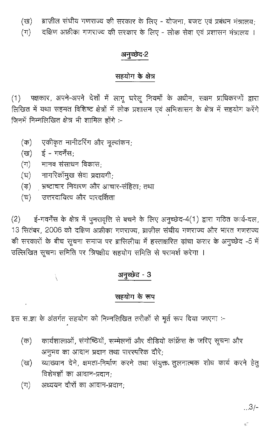ब्राज़ील संघीय गणराज्य की सरकार के लिए - योजना, बजट एवं प्रबंधन मंत्रालय; (ख)

दक्षिण अफ्रीका गणराज्य की सरकार के लिए - लोक सेवा एवं प्रशासन मंत्रालय ।  $(\mathbb{T})$ 

## अनुच्छेद-2

## सहयोग के क्षेत्र

(1) पक्षकार, अपने-अपने देशों में लागू घरेलू नियमों के अधीन, सक्षम प्राधिकरणों द्वारा लिखित में यथा सहमत विशिष्ट क्षेत्रों में लोक प्रशासन एवं अभिशासन के क्षेत्र में सहयोग करेंगे जिनमें निम्नलिखित क्षेत्र भी शामिल होंगे :-

- एकीकृत मानीटरिंग और भूल्यांकन;  $(\overline{\mathsf{sp}})$
- (ख) ई गवर्नेंस;
- मानव संसाधन विकास $_{\rm i}$  $(\pi)$
- नागरिकोंमुख सेवा प्रदायगी; (ঘ)
- भ्रष्टाचार निवारण और आचार-संहिता; तथा  $(\vec{r})$
- उत्तरदायित्व और पारदर्शिता  $(\overline{\tau})$

ई-गवर्नेंस के क्षेत्र में पुनरावृत्ति से बचने के लिए अनुच्छेद-4(1) द्वारा गठित कार्य-दल,  $(2)$ 13 सितंबर, 2006 को दक्षिण अफ्रीका गणराज्य, ब्राज़ील संघीय गणराज्य और भारत गणराज्य की सरकारों के बीच सूचना समाज पर ब्रासिलीया में हस्ताक्षरित ढ़ांचा करार के अनुच्छेद -5 में उल्लिखित सूचना समिति पर त्रिपक्षीय सहयोग समिति से परामर्श करेगा ।

## अनुच्छेद - 3

## सहयोग के रूप

इस स.ज्ञा के अंतर्गत सहयोग को निम्नलिखित तरीकों से मूर्त रूप दिया जाएगा :-

- कार्यशालाओं, संगोष्ठियों, सम्मेलनों और वीडियो कांफ्रेंस के जरिए सूचना और (क) अनुभव का आदान प्रदान तथा पारस्परिक दौरे;
- व्याख्यान देने, क्षमता-निर्माण करने तथा संयुक्त तूलनात्मक शोध कार्य करने हेतू (ख) विशेषज्ञों का आदान-प्रदान;
- अध्ययन दौरों का आदान-प्रदान:  $(\pi)$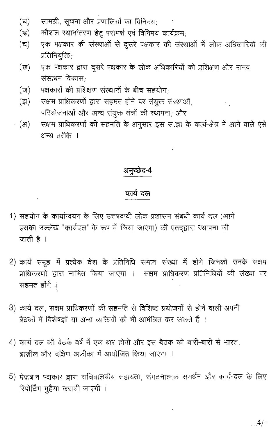- सामग्री, सूचना और प्रणालियों का विनिमय;  $(\overline{z})$
- कौशल स्थानांतरण हेतू परामर्श एवं विनिमय कार्यक्रम:  $(\vec{v})$
- एक पक्षकार की संस्थाओं से दूसरे पक्षकार की संस्थाओं में लोक अधिकारियों की  $(\overline{\tau})$ प्रतिनियुक्ति:
- एक पक्षकार द्वारा दूसरे पक्षकार के लोक अधिकारियों को प्रशिक्षण और मानव  $(\varpi)$ संसाधन विकास:
- पक्षकारों की प्रशिक्षण संस्थानों के बीच सहयोग:  $(\vec{u})$
- सक्षम प्राधिकरणों द्वारा सहमत होने पर संयुक्त संस्थाओं,  $(\vec{z})$ परियोजनाओं और अन्य संयुक्त तंत्रों की स्थापना; और
- सक्षम प्राधिकरणों की सहमति के अनुसार इस स.ज्ञा के कार्य-क्षेत्र में आने वाले ऐसे - (अ) अन्य तरीके ।

## अनुच्छेद-4

## कार्य दल

- 1) सहयोग के कार्यान्वयन के लिए उत्तरदायी लोक प्रशासन संबंधी कार्य दल (आगे इसका उल्लेख "कार्यदल" के रूप में किया जाएगा) की एतद्द्वारा स्थापना की जाती है ।
- 2) कार्य समूह में प्रत्येक देश के प्रतिनिधि समान संख्या में होगे जिनको उनके सक्षम प्राधिकरणों द्वारा नामित किया जाएगा । सक्षम प्राधिकरण प्रतिनिधियों की संख्या पर सहमत होंगे ।
- 3) कार्य दल, सक्षम प्राधिकरणों की सहमति से विशिष्ट प्रयोजनों से होने वाली अपनी बैठकों में विशेषज्ञों या अन्य व्यक्तियों को भी आमंत्रित कर सकते हैं ।
- 4) कार्य दल की बैठक वर्ष में एक बार होगी और इस बैठक को बारी-बारी से भारत, ब्राजील और दक्षिण अफ्रीका में आयोजित किया जाएगा ।
- 5) मेज़बान पक्षकार द्वारा सचिवालयीय सहायता, संगठनात्मक समर्थन और कार्य-दल के लिए रिपोर्टिंग मुहैया करायी जाएगी ।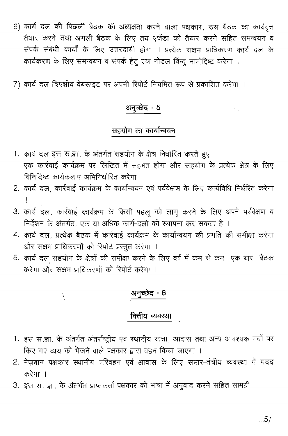- 6) कार्य दल की पिछली बैठक की अध्यक्षता करने वाला पक्षकार, उस बैठक का कार्यवृत्त तैयार करने तथा अगली बैठक के लिए तय एजेंडा को तैयार करने सहित समन्वयन व संपर्क संबंधी कार्यों के लिए उत्तरदायी होगा । प्रत्येक सक्षम प्राधिकरण कार्य दल के कार्यकरण के लिए समन्वयन व संपर्क हेतु एक नोडल बिन्दू नामोदिष्ट करेगा ।
- 7) कार्य दल त्रिपक्षीय वेबसाइट पर अपनी रिपोर्टे नियमित रूप से प्रकाशित करेगा ।

## अनुच्छेद - 5

#### सहयोग का कार्यान्वयन

- 1. कार्य दल इस स.ज्ञा. के अंतर्गत सहयोग के क्षेत्र निर्धारित करते हुए एक कार्रवाई कार्यक्रम पर लिखित में सहमत होगा और सहयोग के प्रत्येक क्षेत्र के लिए विनिर्दिष्ट कार्यकलाप अभिनिर्धारित करेगा ।
- 2. कार्य दल, कार्रवाई कार्यक्रम के कार्यान्वयन एवं पर्यवेक्षण के लिए कार्यविधि निर्धरित करेगा
- 3. कार्य दल, कार्रवाई कार्यक्रम के किसी पहलू को लागू करने के लिए अपने पर्यवेक्षण व निर्देशन के अंतर्गत, एक या अधिक कार्य-दलों की स्थापना कर सकता है ।
- 4. कार्य दल, प्रत्येक बैठक में कार्रवाई कार्यक्रम के कार्यान्वयन की प्रगति की समीक्षा करेगा और सक्षम प्राधिकरणों को रिपोर्ट प्रस्तुत करेगा ।
- 5. कार्य दल सहयोग के क्षेत्रों की समीक्षा करने के लिए वर्ष में कम से कम एक बार बैठक करेगा और सक्षम प्राधिकरणों को रिपोर्ट करेगा ।

#### अनुच्छेद - 6

### वित्तीय व्यवस्था

- 1. इस स.ज्ञा. के अंतर्गत अंतर्राष्ट्रीय एवं स्थानीय यात्रा, आवास तथा अन्य आवश्यक मदों पर किए गए व्यय को भेजने वाले पक्षकार द्वारा वहन किया जाएगा ।
- 2. मेज़बान पक्षकार स्थानीय परिवहन एवं आवास के लिए संभार-तंत्रीय व्यवस्था में मदद करेगा ।
- 3. इस स. ज्ञा. के अंतर्गत प्राप्तकर्ता पक्षकार की भाषा में अनुवाद करने सहित सामग्री

À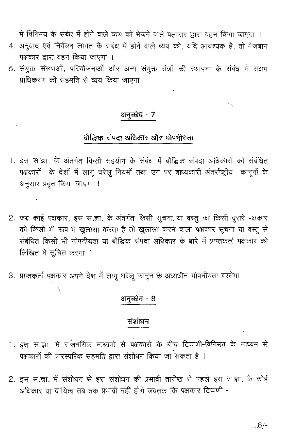में विनिमय के संबंध में होने वाले व्यय को भेजने वाले पक्षकार द्वारा वहन किया जाएगा ।

- 4. अनुवाद एवं निर्वचन लागत के संबंध में होने वाले व्यय को, यदि आवश्यक है, तो मेजबान पक्षकार द्वारा वहन किया जाएगा ।
- 5. संयुक्त संस्थाओं, परियोजनाओं और अन्य संयुक्त तंत्रों की स्थापना के संबंध में सक्षम प्राधिकरण की सहमति से व्यय किया जाएगा ।

### अनुच्छेद - 7

## बौद्धिक संपदा अधिकार और गोपनीयता

- 1. इस स.ज्ञा. के अंतर्गत किसी सहयोग के संबंध में बौद्धिक संपदा अधिकारों को संबंधित पक्षकारों के देशों में लागू घरेलू नियमों तथा उन पर बाध्यकारी अंतर्राष्ट्रीय कानूनों के अनुसार प्रवृत किया जाएगा !
- 2. जब कोई पक्षकार, इस स.ज्ञा. के अंतर्गत किसी सूचना था वस्तु का किसी दूसरे पक्षकार को किसी भी रूप में खुलासा करता है तो खुलासा करने वाला पक्षकार सूचना या वस्तू से संबंधित किसी भी गोपनीयता या बौद्धिक संपदा अधिकार के बारे में प्राप्तकर्ता पक्षकार को लिखित में सूचित करेगा ।
- 3. प्राप्तकर्ता पक्षकार अपने देश में लागू घरेलू कानून के अध्यधीन गोपनीयता बरतेगा ।

 $\mathcal{L}^{\pm}$ 

 $\chi_{\rm max}$ 

## अनुच्छेद - 8

#### संशोधन

- 1. इस स.ज्ञा, में राजनयिक माध्यमों से पक्षकारों के बीच टिप्पणी-विनिमय के माध्यम से .<br>पक्षकारों की पारस्परिक सहमति द्वारा संशोधन किया जा सकता है ।
- 2. इस स.ज्ञा. में संशोधन से इस संशोधन की प्रभावी तारीख से पहले इस स.ज्ञा. के कोई अधिकार या दायित्व तब तक प्रभावी नहीं होंगे जबतक कि पक्षकार टिप्पणी -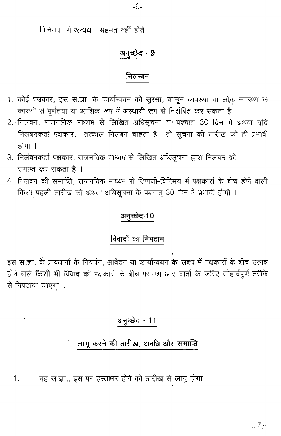विनिमय में अन्यथा सहमत नहीं होते ।

## अनुच्छेद - 9

#### निलम्बन

- 1. कोई पक्षकार, इस स.ज्ञा. के कार्यान्वयन को सुरक्षा, कानून व्यवस्था या लोक स्वास्थ्य के कारणों से पूर्णतया या आंशिक रूप में अस्थायी रूप से निलंबित कर सकता है ।
- 2. निलंबन, राजनयिक माध्यम से लिखित अधिसूचना के पश्चात 30 दिन में अथवा यदि निलंबनकर्ता पक्षकार, तत्काल निलंबन चाहता है तो सूचना की तारीख को ही प्रभावी होगा ।
- 3. निलंबनकर्ता पक्षकार, राजनयिक माध्यम से लिखित अधिसूचना द्वारा निलंबन को समाप्त कर सकता है ।
- 4. निलंबन की समाप्ति, राजनयिक माध्यम से टिप्पणी-विनिमय में पक्षकारों के बीच होने वाली किसी पहली तारीख को अथवा अधिसूचना के पश्चात् 30 दिन में प्रभावी होगी ।

## अनुच्छेद-10

## विवादों का निपटान

इस स.ज्ञा. के प्रावधानों के निवर्चन, आवेदन या कार्यान्वयन के संबंध में पक्षकारों के बीच उत्पन्न होने वाले किसी भी विवाद को पक्षकारों के बीच परामर्श और वार्ता के जरिए सौहार्दपूर्ण तरीके से निपटाया जाएगा ।

## अनुच्छेद - 11

## लागू करने की तारीख, अवधि और समाप्ति

 $.7 -$ 

यह स.ज्ञा., इस पर हस्ताक्षर होने की तारीख से लागू होगा । 1.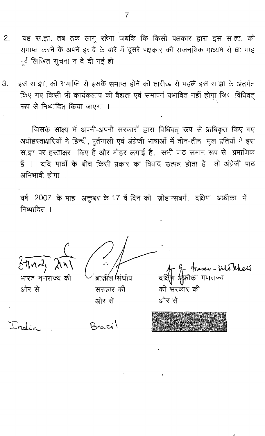- यह स.ज्ञा. तब तक लागू रहेगा जबकि कि किसी पक्षकार द्वारा इस स.ज्ञा. को 2. समाप्त करने के अपने इरादे के बारे में दूसरे पक्षकार को राजनयिक माध्यम से छः माह पूर्व लिखित सूचना न दे दी गई हो ।
- इस स.ज्ञा. की समाप्ति से इसके समाप्त होने की तारीख से पहले इस स.ज्ञा के अंतर्गत З. किए गए किसी भी कार्यकलाप की वैद्यता एवं समापन प्रभावित नहीं होगा जिस विधिवत् रूप से निष्पादित किया जाएगा ।

जिसके साक्ष्य में अपनी-अपनी सरकारों द्वारा विधिवत् रूप से प्राधिकृत किए गए अधोहस्ताक्षरियों ने हिन्दी, पूर्तगाली एवं अंग्रेजी भाषाओं में तीन-तीन मूल प्रतियों में इस स.ज्ञा पर हस्ताक्षर किए हैं और मोहर लगाई है, सभी पाठ समान रूप से प्रमाणिक हैं । यदि पाठों के बीच किसी प्रकार का विवाद उत्पन्न होता है तो अंग्रेजी पाठ अभिभावी होगा ।

वर्ष 2007 के माह अक्तूबर के 17 वें दिन को ज़ोहान्सबर्ग, दक्षिण अफ्रीका में निष्पादित ।

 $3\pi n$ z  $\lambda$ 

भारत गणराज्य की ओर से

ब्राजील सिंघीय सरकार की ओर से

shasev - WusTeheeti<br>Tool गणराज्य की 'सरकार' की ओर से

| India |  |
|-------|--|
|-------|--|

 $R_{\text{cat}}$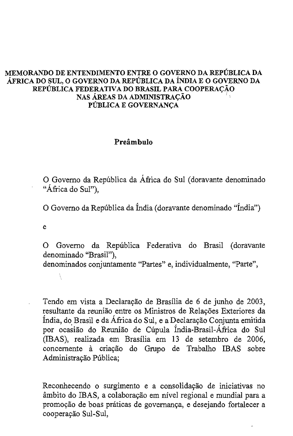#### MEMORAND0 DE ENTENDIMENTO ENTRE 0 GOVERNO DA REPUBLICA DA AFRICA DO SUL, 0 GOVERNO DA REPUBLICA DA iNDIA E 0 GOVERNO DA REPÚBLICA FEDERATIVA DO BRASIL PARA COOPERAÇÃO NAS AREAS DA ADMINISTRACAO : PUBLICA E GOVERNANCA

#### Preâmbulo

o Govemo da Republica da Africa do SuI (doravante denominado "África do Sul"),

o Govemo da Republica da India (doravante denominado "India")

e

X

o Govemo da Republica Federativa do Brasil (doravante denominado "Brasil"), denominados conjuntamente "Partes" e, individualmente, "Parte",

Tendo em vista a Declaração de Brasília de 6 de junho de 2003, resultante da reunião entre os Ministros de Relações Exteriores da Índia, do Brasil e da África do Sul, e a Declaração Conjunta emitida por ocasião do Reunião de Cúpula Índia-Brasil-África do Sul (IBAS), realizada em Brasilia em 13 de setembro de 2006, concernente à criação do Grupo de Trabalho IBAS sobre Administração Pública;

Reconhecendo o surgimento e a consolidação de iniciativas no âmbito do IBAS, a colaboração em nível regional e mundial para a promoção de boas práticas de governança, e desejando fortalecer a cooperação Sul-Sul,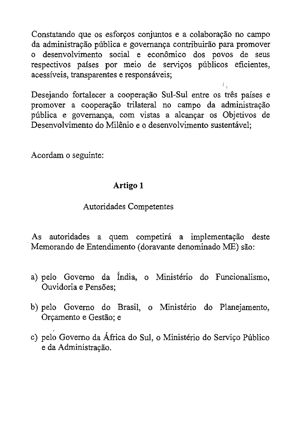Constatando que os esforços conjuntos e a colaboração no campo da administração pública e governança contribuirão para promover o desenvolvimento social e econômico dos povos de seus respectivos países por meio de serviços públicos eficientes, acessíveis, transparentes e responsáveis;

Desejando fortalecer a cooperação Sul-Sul entre os três países e promover a cooperação trilateral no campo da administração pública e governança, com vistas a alcançar os Objetivos de Desenvolvimento do Milênio e o desenvolvimento sustentável;

í.,

Acordam <sup>0</sup> seguinte:

## **Artigo 1**

## Autoridades Competentes

As autoridades a quem competirá a implementação deste Memorando de Entendimento (doravante denominado ME) são:

- a) pelo Governo da Índia, o Ministério do Funcionalismo, Ouvidoria e Pensões:
- b) pelo Governo do Brasil, o Ministério do Planejamento, Orçamento e Gestão; e
- c) pelo Governo da África do Sul, o Ministério do Serviço Público e da Administração.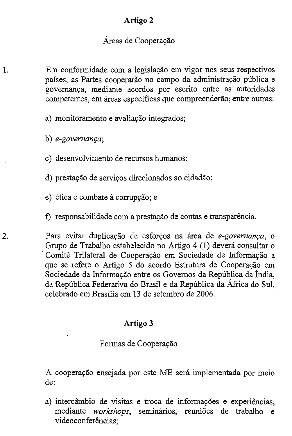## Artigo 2

#### Áreas de Cooperação

Em conformidade com a legislação em vigor nos seus respectivos paises, as Partes cooperarao no campo da administrayao publica e governança, mediante acordos por escrito entre as autoridades competentes, em áreas específicas que compreenderão; entre outras:

- a) monitoramento e avaliação integrados;
- b) *e-governança*;

1.

- c) desenvolvimento de recursos humanos;
- d) prestação de serviços direcionados ao cidadão;
- e) ética e combate à corrupção; e
- f) responsabilidade com a prestação de contas e transparência.

2. Para evitar duplicação de esforços na área de e-governança, o Grupo de Trabalho estabelecido no Artigo 4 (1) deverá consultar o Comitê Trilateral de Cooperação em Sociedade de Informação a que se refere o Artigo 5 do acordo Estrutura de Cooperação em Sociedade da Informação entre os Governos da República da Índia, da Republica Federativa do Brasil e da Republica da Africa do SuI, celebrado em Brasilia em 13 de setembro de 2006.

## Artigo 3

#### Formas de Cooperação

A cooperação ensejada por este ME será implementada por meio de:

a) intercâmbio de visitas e troca de informações e experiências, mediante *workshops*, seminários, reuniões de trabalho e videoconferências;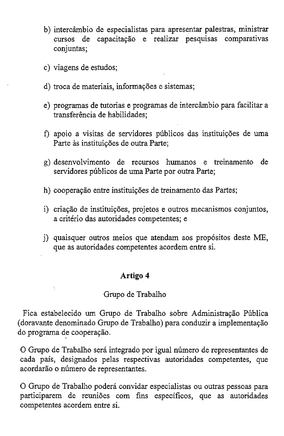- b) intercambio de especialistas para apresentar palestras, ministrar cursos de capacitação e realizar pesquisas comparativas conjuntas;
- c) viagens de estudos;

Â.

- d) troca de materiais, informações e sistemas;
- e) programas de tutorias e programas de intercâmbio para facilitar a transferência de habilidades:
- f) apoio a visitas de servidores públicos das instituições de uma Parte às instituições de outra Parte;
- g) desenvolvimento de reeursos hwnanos e treinamento de servidores públicos de uma Parte por outra Parte;
- h) cooperação entre instituições de treinamento das Partes;
- i) criação de instituições, projetos e outros mecanismos conjuntos, a eriterio das autoridades competentes; e
- j) quaisquer outros meios que atendam aos prop6sitos deste ME, que as autoridades competentes acordem entre si.

#### **Artigo 4**

#### Grupo de Trabalho

Fica estabelecido um Grupo de Trabalho sobre Administração Pública (doravante denominado Grupo de Trabalho) para conduzir a implementayao do programa de cooperação.

O Grupo de Trabalho será integrado por igual número de representantes de cada pais, designados pelas respectivas autoridades competentes, que acordarão o número de representantes.

o Grupo de Trabalho podera convidar especialistas ou outras pessoas para participarem de reunioes com fins especificos, que as autoridades competentes acordem entre si.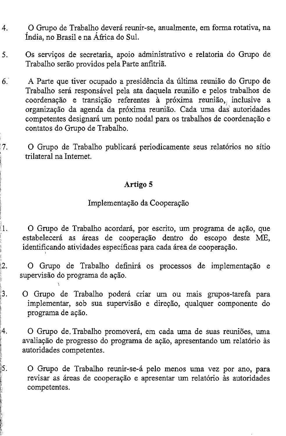- 4. o Grupo de Trabalho devera reunir-se, anualmente, em forma rotativa, na India, no Brasil e na Africa do SuI.
- 5. Os serviços de secretaria, apoio administrativo e relatoria do Grupo de Trabalho serão providos pela Parte anfitriã.
- 6: A Parte que tiver ocupado a presidencia da ultima reuniao do Grupo de Trabalho será responsável pela ata daquela reunião e pelos trabalhos de coordenação e transição referentes à próxima reunião, inclusive a organização da agenda da próxima reunião. Cada uma das autoridades competentes designará um ponto nodal para os trabalhos de coordenação e contatos do Grupo de Trabalho.

o Grupo de Trabalho publicara periodicamente seus relatorios no sitio trilateral na Internet.

## Artigo 5

:7. "

 $\mathbb{I}.$ 

~.

 $2^{\cdot}$ 

5.

I

#### Implementação da Cooperação

O Grupo de Trabalho acordará, por escrito, um programa de ação, que estabelecerá as áreas de cooperação dentro do escopo deste ME, identificando atividades específicas para cada área de cooperação.

O Grupo de Trabalho definirá os processos de implementação e supervisão do programa de ação.

- 3. O Grupo de Trabalho poderá criar um ou mais grupos-tarefa para implementar, sob sua supervisão e direção, qualquer componente do programa de ação.
- *A.* o Grupo de. Trabalho promovera, em cada uma de suas reuni5es, uma avaliação de progresso do programa de ação, apresentando um relatório às autoridades competentes.

O Grupo de Trabalho reunir-se-á pelo menos uma vez por ano, para revisar as áreas de cooperação e apresentar um relatório às autoridades competentes.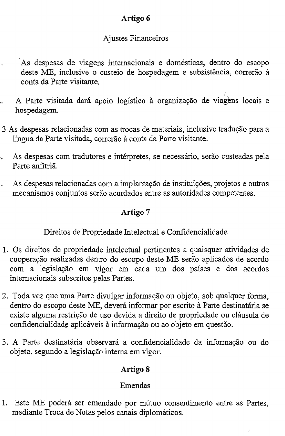## Artigo 6

## Ajustes Financeiros

- As despesas de viagens internacionais e domesticas, dentro do escopo deste ME, inclusive o custeio de hospedagem e subsistência, correrão à conta da Parte visitante.
- I . A Parte visitada dará apoio logístico à organização de viagens locais e hospedagem.
- 3 A.s despesas relacionadas com as trocas de materiais, inclusive traduyao para a língua da Parte visitada, correrão à conta da Parte visitante.
- As despesas com tradutores e intérpretes, se necessário, serão custeadas pela l, Parte anfitria.
- Ċ, As despesas relacionadas com a implantação de instituições, projetos e outros mecanismos conjuntos serao acordados entre as autoridades competentes.

## Artigo 7

## Direitos de Propriedade Intelectual e Confidencialidade

- 1. Os direitos de propriedade intelectual pertinentes a quaisquer atividades de cooperação realizadas dentro do escopo deste ME serão aplicados de acordo com a legislação em vigor em cada um dos países e dos acordos intemacionais subscritos pelas Partes.
- 2. Toda vez que uma Parte divulgar informação ou objeto, sob qualquer forma, dentro do escopo deste ME, deverá informar por escrito à Parte destinatária se existe alguma restrição de uso devida a direito de propriedade ou cláusula de confidencialidade aplicáveis à informação ou ao objeto em questão.
- 3. A Parte destinatária observará a confidencialidade da informação ou do objeto, segundo a legislayao intema em vigor.

## Artigo 8

## Emendas

1. Este ME poderá ser emendado por mútuo consentimento entre as Partes, mediante Troca de Notas pelos canais diplomáticos.

 $\hat{\sigma}^t$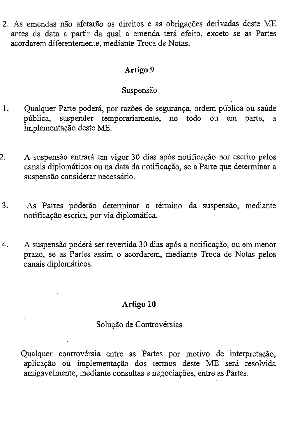2. As emendas não afetarão os direitos e as obrigações derivadas deste ME antes da data a partir da qual a emenda terá efeito, exceto se as Partes . acordarem diferentemente, mediante Troca de Notas.

### Artigo 9

## Suspensão

- 1. Qualquer Parte poderá, por razões de segurança, ordem pública ou saúde publica, suspender temporariamente, no todo ou em parte, a implementação deste ME.
- 2. A suspensão entrará em vigor 30 dias após notificação por escrito pelos canais diplomáticos ou na data da notificação, se a Parte que determinar a suspensão considerar necessário.
- 3. As Partes poderão determinar o término da suspensão, mediante notificação escrita, por via diplomática.
- 4. A suspensão poderá ser revertida 30 dias após a notificação, ou em menor prazo" se as Partes assim 0 acordarem, mediante Troca de Notas pelos canais diplomáticos.

## Artigo 10

## Solução de Controvérsias

Qualquer controvérsia entre as Partes por motivo de interpretação, aplicação ou implementação dos termos deste ME será resolvida amigavelmente, mediante consultas e negociações, entre as Partes.